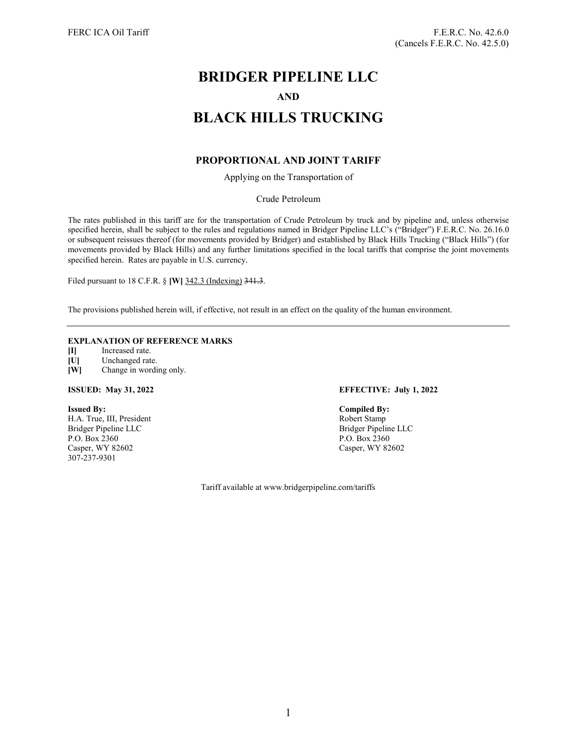# **BRIDGER PIPELINE LLC AND BLACK HILLS TRUCKING**

# **PROPORTIONAL AND JOINT TARIFF**

Applying on the Transportation of

Crude Petroleum

The rates published in this tariff are for the transportation of Crude Petroleum by truck and by pipeline and, unless otherwise specified herein, shall be subject to the rules and regulations named in Bridger Pipeline LLC's ("Bridger") F.E.R.C. No. 26.16.0 or subsequent reissues thereof (for movements provided by Bridger) and established by Black Hills Trucking ("Black Hills") (for movements provided by Black Hills) and any further limitations specified in the local tariffs that comprise the joint movements specified herein. Rates are payable in U.S. currency.

Filed pursuant to 18 C.F.R. § **[W]** 342.3 (Indexing) 341.3.

The provisions published herein will, if effective, not result in an effect on the quality of the human environment.

## **EXPLANATION OF REFERENCE MARKS**

**[I]** Increased rate.

- **[U]** Unchanged rate.
- **[W]** Change in wording only.

H.A. True, III, President Bridger Pipeline LLC<br>
P.O. Box 2360<br>
P.O. Box 2360<br>
P.O. Box 2360 P.O. Box 2360<br>
Casper, WY 82602<br>
Casper, WY 82602<br>
Casper, WY 82602 Casper, WY 82602 307-237-9301

### **ISSUED: May 31, 2022 EFFECTIVE: July 1, 2022**

**Issued By:**<br> **I.A. True, III, President**<br> **I.A. True, III, President**<br> **I.A. True, III, President** 

Tariff available at www.bridgerpipeline.com/tariffs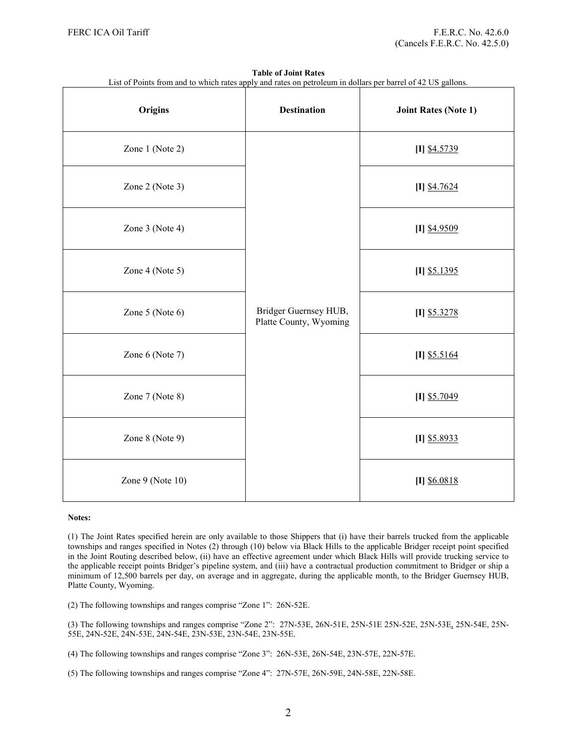| List of Points from and to which rates apply and rates on petroleum in dollars per barrel of 42 US gallons. |                                                 |                             |
|-------------------------------------------------------------------------------------------------------------|-------------------------------------------------|-----------------------------|
| Origins                                                                                                     | <b>Destination</b>                              | <b>Joint Rates (Note 1)</b> |
| Zone 1 (Note 2)                                                                                             | Bridger Guernsey HUB,<br>Platte County, Wyoming | $[I]$ \$4.5739              |
| Zone 2 (Note 3)                                                                                             |                                                 | $[I]$ \$4.7624              |
| Zone 3 (Note 4)                                                                                             |                                                 | $[I]$ \$4.9509              |
| Zone 4 (Note 5)                                                                                             |                                                 | $[I]$ \$5.1395              |
| Zone 5 (Note 6)                                                                                             |                                                 | $[I]$ \$5.3278              |
| Zone 6 (Note 7)                                                                                             |                                                 | $[I]$ \$5.5164              |
| Zone 7 (Note 8)                                                                                             |                                                 | $[I]$ \$5.7049              |
| Zone 8 (Note 9)                                                                                             |                                                 | $[I]$ \$5.8933              |
| Zone 9 (Note 10)                                                                                            |                                                 | $[I]$ \$6.0818              |

**Table of Joint Rates**

### **Notes:**

(1) The Joint Rates specified herein are only available to those Shippers that (i) have their barrels trucked from the applicable townships and ranges specified in Notes (2) through (10) below via Black Hills to the applicable Bridger receipt point specified in the Joint Routing described below, (ii) have an effective agreement under which Black Hills will provide trucking service to the applicable receipt points Bridger's pipeline system, and (iii) have a contractual production commitment to Bridger or ship a minimum of 12,500 barrels per day, on average and in aggregate, during the applicable month, to the Bridger Guernsey HUB, Platte County, Wyoming.

(2) The following townships and ranges comprise "Zone 1": 26N-52E.

(3) The following townships and ranges comprise "Zone 2": 27N-53E, 26N-51E, 25N-51E 25N-52E, 25N-53E, 25N-54E, 25N-55E, 24N-52E, 24N-53E, 24N-54E, 23N-53E, 23N-54E, 23N-55E.

- (4) The following townships and ranges comprise "Zone 3": 26N-53E, 26N-54E, 23N-57E, 22N-57E.
- (5) The following townships and ranges comprise "Zone 4": 27N-57E, 26N-59E, 24N-58E, 22N-58E.